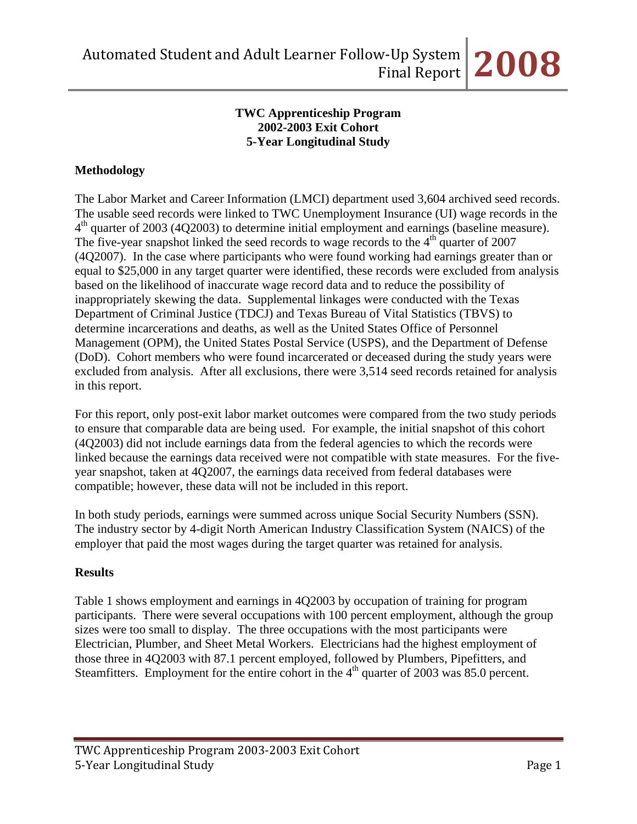### **TWC Apprenticeship Program 2002-2003 Exit Cohort 5-Year Longitudinal Study**

### **Methodology**

The Labor Market and Career Information (LMCI) department used 3,604 archived seed records. The usable seed records were linked to TWC Unemployment Insurance (UI) wage records in the  $4<sup>th</sup>$  quarter of 2003 (4Q2003) to determine initial employment and earnings (baseline measure). The five-year snapshot linked the seed records to wage records to the  $4<sup>th</sup>$  quarter of 2007 (4Q2007). In the case where participants who were found working had earnings greater than or equal to \$25,000 in any target quarter were identified, these records were excluded from analysis based on the likelihood of inaccurate wage record data and to reduce the possibility of inappropriately skewing the data. Supplemental linkages were conducted with the Texas Department of Criminal Justice (TDCJ) and Texas Bureau of Vital Statistics (TBVS) to determine incarcerations and deaths, as well as the United States Office of Personnel Management (OPM), the United States Postal Service (USPS), and the Department of Defense (DoD). Cohort members who were found incarcerated or deceased during the study years were excluded from analysis. After all exclusions, there were 3,514 seed records retained for analysis in this report.

For this report, only post-exit labor market outcomes were compared from the two study periods to ensure that comparable data are being used. For example, the initial snapshot of this cohort (4Q2003) did not include earnings data from the federal agencies to which the records were linked because the earnings data received were not compatible with state measures. For the fiveyear snapshot, taken at 4Q2007, the earnings data received from federal databases were compatible; however, these data will not be included in this report.

In both study periods, earnings were summed across unique Social Security Numbers (SSN). The industry sector by 4-digit North American Industry Classification System (NAICS) of the employer that paid the most wages during the target quarter was retained for analysis.

### **Results**

Table 1 shows employment and earnings in 4Q2003 by occupation of training for program participants. There were several occupations with 100 percent employment, although the group sizes were too small to display. The three occupations with the most participants were Electrician, Plumber, and Sheet Metal Workers. Electricians had the highest employment of those three in 4Q2003 with 87.1 percent employed, followed by Plumbers, Pipefitters, and Steamfitters. Employment for the entire cohort in the  $4<sup>th</sup>$  quarter of 2003 was 85.0 percent.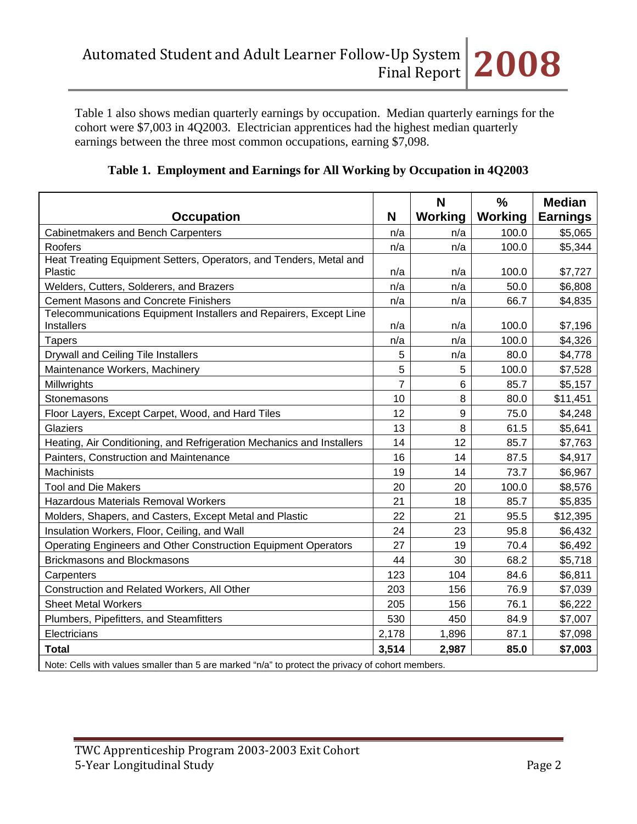Table 1 also shows median quarterly earnings by occupation. Median quarterly earnings for the cohort were \$7,003 in 4Q2003. Electrician apprentices had the highest median quarterly earnings between the three most common occupations, earning \$7,098.

|  | Table 1. Employment and Earnings for All Working by Occupation in 4Q2003 |  |  |  |
|--|--------------------------------------------------------------------------|--|--|--|
|--|--------------------------------------------------------------------------|--|--|--|

| <b>Occupation</b>                                                                                                | N              | N<br><b>Working</b> | $\frac{0}{0}$<br><b>Working</b> | <b>Median</b><br><b>Earnings</b> |
|------------------------------------------------------------------------------------------------------------------|----------------|---------------------|---------------------------------|----------------------------------|
| Cabinetmakers and Bench Carpenters                                                                               | n/a            | n/a                 | 100.0                           | \$5,065                          |
| Roofers                                                                                                          | n/a            | n/a                 | 100.0                           | \$5,344                          |
| Heat Treating Equipment Setters, Operators, and Tenders, Metal and                                               |                |                     |                                 |                                  |
| Plastic                                                                                                          | n/a            | n/a                 | 100.0                           | \$7,727                          |
| Welders, Cutters, Solderers, and Brazers                                                                         | n/a            | n/a                 | 50.0                            | \$6,808                          |
| <b>Cement Masons and Concrete Finishers</b>                                                                      | n/a            | n/a                 | 66.7                            | \$4,835                          |
| Telecommunications Equipment Installers and Repairers, Except Line<br><b>Installers</b>                          | n/a            | n/a                 | 100.0                           | \$7,196                          |
| <b>Tapers</b>                                                                                                    | n/a            | n/a                 | 100.0                           | \$4,326                          |
| Drywall and Ceiling Tile Installers                                                                              | 5              | n/a                 | 80.0                            | \$4,778                          |
| Maintenance Workers, Machinery                                                                                   | 5              | 5                   | 100.0                           | \$7,528                          |
| Millwrights                                                                                                      | $\overline{7}$ | 6                   | 85.7                            | \$5,157                          |
| Stonemasons                                                                                                      | 10             | 8                   | 80.0                            | \$11,451                         |
| Floor Layers, Except Carpet, Wood, and Hard Tiles                                                                | 12             | 9                   | 75.0                            | \$4,248                          |
| Glaziers                                                                                                         | 13             | 8                   | 61.5                            | \$5,641                          |
| Heating, Air Conditioning, and Refrigeration Mechanics and Installers                                            | 14             | 12                  | 85.7                            | \$7,763                          |
| Painters, Construction and Maintenance                                                                           | 16             | 14                  | 87.5                            | \$4,917                          |
| <b>Machinists</b>                                                                                                | 19             | 14                  | 73.7                            | \$6,967                          |
| <b>Tool and Die Makers</b>                                                                                       | 20             | 20                  | 100.0                           | \$8,576                          |
| <b>Hazardous Materials Removal Workers</b>                                                                       | 21             | 18                  | 85.7                            | \$5,835                          |
| Molders, Shapers, and Casters, Except Metal and Plastic                                                          | 22             | 21                  | 95.5                            | \$12,395                         |
| Insulation Workers, Floor, Ceiling, and Wall                                                                     | 24             | 23                  | 95.8                            | \$6,432                          |
| Operating Engineers and Other Construction Equipment Operators                                                   | 27             | 19                  | 70.4                            | \$6,492                          |
| <b>Brickmasons and Blockmasons</b>                                                                               | 44             | 30                  | 68.2                            | \$5,718                          |
| Carpenters                                                                                                       | 123            | 104                 | 84.6                            | \$6,811                          |
| Construction and Related Workers, All Other                                                                      | 203            | 156                 | 76.9                            | \$7,039                          |
| <b>Sheet Metal Workers</b>                                                                                       | 205            | 156                 | 76.1                            | \$6,222                          |
| Plumbers, Pipefitters, and Steamfitters                                                                          | 530            | 450                 | 84.9                            | \$7,007                          |
| Electricians                                                                                                     | 2,178          | 1,896               | 87.1                            | \$7,098                          |
| <b>Total</b><br>Note: Celle with values emailer than 5 are marked "p/o" to protect the privacy of schort members | 3,514          | 2,987               | 85.0                            | \$7,003                          |

Note: Cells with values smaller than 5 are marked "n/a" to protect the privacy of cohort members.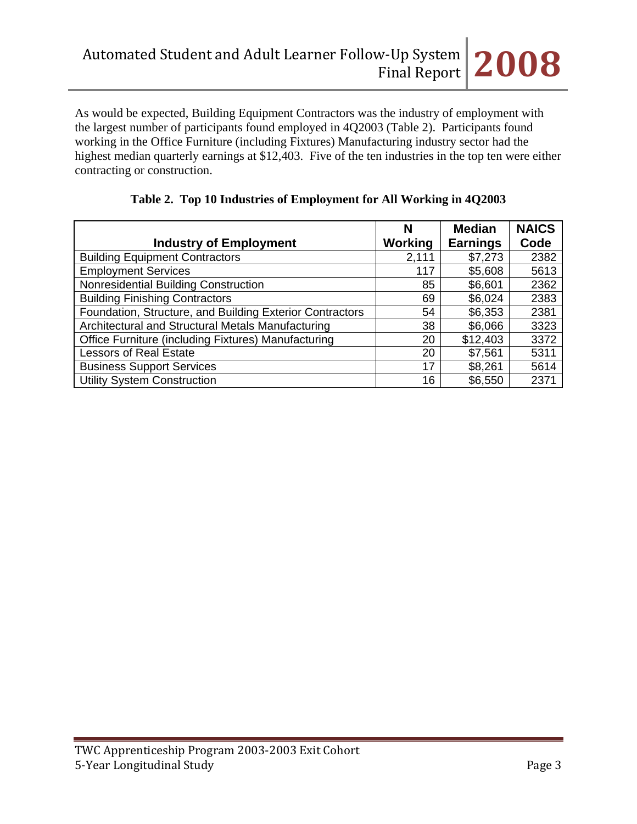As would be expected, Building Equipment Contractors was the industry of employment with the largest number of participants found employed in 4Q2003 (Table 2). Participants found working in the Office Furniture (including Fixtures) Manufacturing industry sector had the highest median quarterly earnings at \$12,403. Five of the ten industries in the top ten were either contracting or construction.

|                                                          | N       | <b>Median</b>   | <b>NAICS</b> |
|----------------------------------------------------------|---------|-----------------|--------------|
| <b>Industry of Employment</b>                            | Working | <b>Earnings</b> | Code         |
| <b>Building Equipment Contractors</b>                    | 2,111   | \$7,273         | 2382         |
| <b>Employment Services</b>                               | 117     | \$5,608         | 5613         |
| Nonresidential Building Construction                     | 85      | \$6,601         | 2362         |
| <b>Building Finishing Contractors</b>                    | 69      | \$6,024         | 2383         |
| Foundation, Structure, and Building Exterior Contractors | 54      | \$6,353         | 2381         |
| Architectural and Structural Metals Manufacturing        | 38      | \$6,066         | 3323         |
| Office Furniture (including Fixtures) Manufacturing      | 20      | \$12,403        | 3372         |
| <b>Lessors of Real Estate</b>                            | 20      | \$7,561         | 5311         |
| <b>Business Support Services</b>                         | 17      | \$8,261         | 5614         |
| <b>Utility System Construction</b>                       | 16      | \$6,550         | 2371         |

|  |  |  | Table 2. Top 10 Industries of Employment for All Working in 4Q2003 |  |  |
|--|--|--|--------------------------------------------------------------------|--|--|
|--|--|--|--------------------------------------------------------------------|--|--|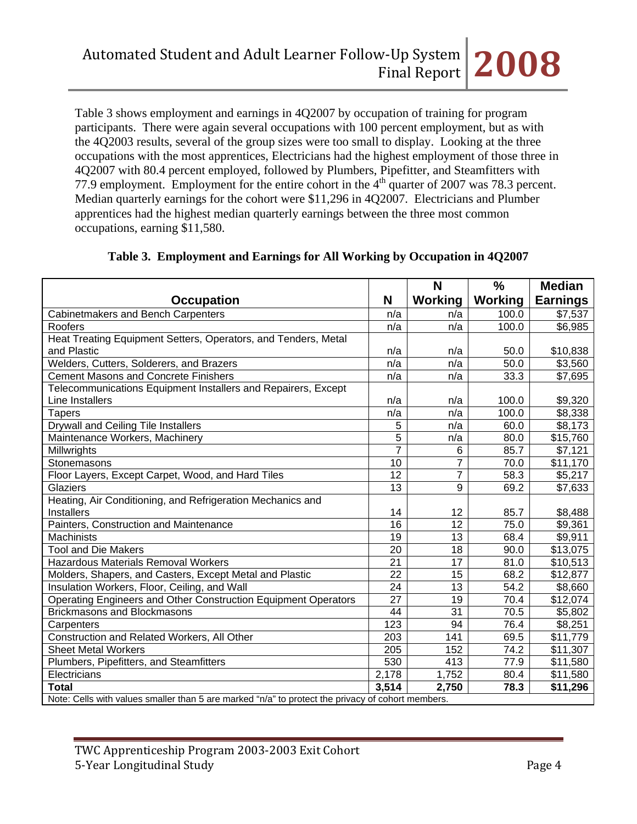Table 3 shows employment and earnings in 4Q2007 by occupation of training for program participants. There were again several occupations with 100 percent employment, but as with the 4Q2003 results, several of the group sizes were too small to display. Looking at the three occupations with the most apprentices, Electricians had the highest employment of those three in 4Q2007 with 80.4 percent employed, followed by Plumbers, Pipefitter, and Steamfitters with 77.9 employment. Employment for the entire cohort in the  $4<sup>th</sup>$  quarter of 2007 was 78.3 percent. Median quarterly earnings for the cohort were \$11,296 in 4Q2007. Electricians and Plumber apprentices had the highest median quarterly earnings between the three most common occupations, earning \$11,580.

|                                                                                                   |                 | N              | $\frac{0}{0}$  | <b>Median</b>   |  |  |
|---------------------------------------------------------------------------------------------------|-----------------|----------------|----------------|-----------------|--|--|
| <b>Occupation</b>                                                                                 | N               | <b>Working</b> | <b>Working</b> | <b>Earnings</b> |  |  |
| Cabinetmakers and Bench Carpenters                                                                | n/a             | n/a            | 100.0          | \$7,537         |  |  |
| Roofers                                                                                           | n/a             | n/a            | 100.0          | \$6,985         |  |  |
| Heat Treating Equipment Setters, Operators, and Tenders, Metal                                    |                 |                |                |                 |  |  |
| and Plastic                                                                                       | n/a             | n/a            | 50.0           | \$10,838        |  |  |
| Welders, Cutters, Solderers, and Brazers                                                          | n/a             | n/a            | 50.0           | \$3,560         |  |  |
| <b>Cement Masons and Concrete Finishers</b>                                                       | n/a             | n/a            | 33.3           | \$7,695         |  |  |
| Telecommunications Equipment Installers and Repairers, Except                                     |                 |                |                |                 |  |  |
| Line Installers                                                                                   | n/a             | n/a            | 100.0          | \$9,320         |  |  |
| <b>Tapers</b>                                                                                     | n/a             | n/a            | 100.0          | \$8,338         |  |  |
| Drywall and Ceiling Tile Installers                                                               | 5               | n/a            | 60.0           | \$8,173         |  |  |
| Maintenance Workers, Machinery                                                                    | $\overline{5}$  | n/a            | 80.0           | \$15,760        |  |  |
| Millwrights                                                                                       | $\overline{7}$  | 6              | 85.7           | \$7,121         |  |  |
| Stonemasons                                                                                       | 10              | 7              | 70.0           | \$11,170        |  |  |
| Floor Layers, Except Carpet, Wood, and Hard Tiles                                                 | 12              | $\overline{7}$ | 58.3           | \$5,217         |  |  |
| Glaziers                                                                                          | 13              | 9              | 69.2           | \$7,633         |  |  |
| Heating, Air Conditioning, and Refrigeration Mechanics and                                        |                 |                |                |                 |  |  |
| <b>Installers</b>                                                                                 | 14              | 12             | 85.7           | \$8,488         |  |  |
| Painters, Construction and Maintenance                                                            | 16              | 12             | 75.0           | \$9,361         |  |  |
| Machinists                                                                                        | $\overline{19}$ | 13             | 68.4           | \$9,911         |  |  |
| <b>Tool and Die Makers</b>                                                                        | 20              | 18             | 90.0           | \$13,075        |  |  |
| <b>Hazardous Materials Removal Workers</b>                                                        | 21              | 17             | 81.0           | \$10,513        |  |  |
| Molders, Shapers, and Casters, Except Metal and Plastic                                           | $\overline{22}$ | 15             | 68.2           | \$12,877        |  |  |
| Insulation Workers, Floor, Ceiling, and Wall                                                      | 24              | 13             | 54.2           | \$8,660         |  |  |
| Operating Engineers and Other Construction Equipment Operators                                    | 27              | 19             | 70.4           | \$12,074        |  |  |
| <b>Brickmasons and Blockmasons</b>                                                                | 44              | 31             | 70.5           | \$5,802         |  |  |
| Carpenters                                                                                        | 123             | 94             | 76.4           | \$8,251         |  |  |
| Construction and Related Workers, All Other                                                       | 203             | 141            | 69.5           | \$11,779        |  |  |
| <b>Sheet Metal Workers</b>                                                                        | 205             | 152            | 74.2           | \$11,307        |  |  |
| Plumbers, Pipefitters, and Steamfitters                                                           | 530             | 413            | 77.9           | \$11,580        |  |  |
| Electricians                                                                                      | 2,178           | 1,752          | 80.4           | \$11,580        |  |  |
| <b>Total</b>                                                                                      | 3,514           | 2,750          | 78.3           | \$11,296        |  |  |
| Note: Cells with values smaller than 5 are marked "n/a" to protect the privacy of cohort members. |                 |                |                |                 |  |  |

# **Table 3. Employment and Earnings for All Working by Occupation in 4Q2007**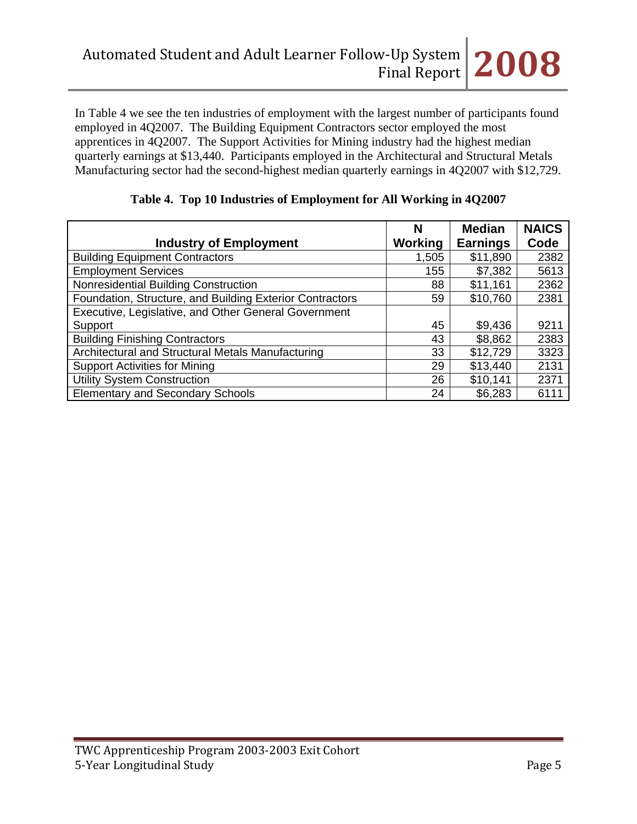In Table 4 we see the ten industries of employment with the largest number of participants found employed in 4Q2007. The Building Equipment Contractors sector employed the most apprentices in 4Q2007. The Support Activities for Mining industry had the highest median quarterly earnings at \$13,440. Participants employed in the Architectural and Structural Metals Manufacturing sector had the second-highest median quarterly earnings in 4Q2007 with \$12,729.

|                                                          | N       | <b>Median</b>   | <b>NAICS</b> |
|----------------------------------------------------------|---------|-----------------|--------------|
| <b>Industry of Employment</b>                            | Working | <b>Earnings</b> | Code         |
| <b>Building Equipment Contractors</b>                    | 1,505   | \$11,890        | 2382         |
| <b>Employment Services</b>                               | 155     | \$7,382         | 5613         |
| Nonresidential Building Construction                     | 88      | \$11,161        | 2362         |
| Foundation, Structure, and Building Exterior Contractors | 59      | \$10,760        | 2381         |
| Executive, Legislative, and Other General Government     |         |                 |              |
| Support                                                  | 45      | \$9,436         | 9211         |
| <b>Building Finishing Contractors</b>                    | 43      | \$8,862         | 2383         |
| Architectural and Structural Metals Manufacturing        | 33      | \$12,729        | 3323         |
| <b>Support Activities for Mining</b>                     | 29      | \$13,440        | 2131         |
| <b>Utility System Construction</b>                       | 26      | \$10,141        | 2371         |
| <b>Elementary and Secondary Schools</b>                  | 24      | \$6,283         | 6111         |

## **Table 4. Top 10 Industries of Employment for All Working in 4Q2007**